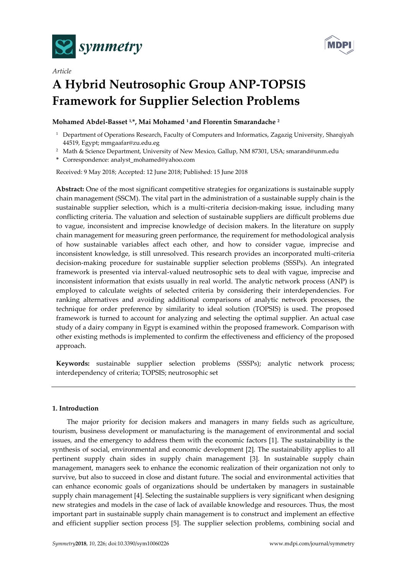



# *Article* **A Hybrid Neutrosophic Group ANP-TOPSIS Framework for Supplier Selection Problems**

# **Mohamed Abdel-Basset 1,\*, Mai Mohamed <sup>1</sup> and Florentin Smarandache <sup>2</sup>**

- <sup>1</sup> Department of Operations Research, Faculty of Computers and Informatics, Zagazig University, Sharqiyah 44519, Egypt; mmgaafar@zu.edu.eg
- <sup>2</sup> Math & Science Department, University of New Mexico, Gallup, NM 87301, USA; smarand@unm.edu
- **\*** Correspondence: analyst\_mohamed@yahoo.com

Received: 9 May 2018; Accepted: 12 June 2018; Published: 15 June 2018

**Abstract:** One of the most significant competitive strategies for organizations is sustainable supply chain management (SSCM). The vital part in the administration of a sustainable supply chain is the sustainable supplier selection, which is a multi-criteria decision-making issue, including many conflicting criteria. The valuation and selection of sustainable suppliers are difficult problems due to vague, inconsistent and imprecise knowledge of decision makers. In the literature on supply chain management for measuring green performance, the requirement for methodological analysis of how sustainable variables affect each other, and how to consider vague, imprecise and inconsistent knowledge, is still unresolved. This research provides an incorporated multi-criteria decision-making procedure for sustainable supplier selection problems (SSSPs). An integrated framework is presented via interval-valued neutrosophic sets to deal with vague, imprecise and inconsistent information that exists usually in real world. The analytic network process (ANP) is employed to calculate weights of selected criteria by considering their interdependencies. For ranking alternatives and avoiding additional comparisons of analytic network processes, the technique for order preference by similarity to ideal solution (TOPSIS) is used. The proposed framework is turned to account for analyzing and selecting the optimal supplier. An actual case study of a dairy company in Egypt is examined within the proposed framework. Comparison with other existing methods is implemented to confirm the effectiveness and efficiency of the proposed approach.

**Keywords:** sustainable supplier selection problems (SSSPs); analytic network process; interdependency of criteria; TOPSIS; neutrosophic set

# **1. Introduction**

The major priority for decision makers and managers in many fields such as agriculture, tourism, business development or manufacturing is the management of environmental and social issues, and the emergency to address them with the economic factors [1]. The sustainability is the synthesis of social, environmental and economic development [2]. The sustainability applies to all pertinent supply chain sides in supply chain management [3]. In sustainable supply chain management, managers seek to enhance the economic realization of their organization not only to survive, but also to succeed in close and distant future. The social and environmental activities that can enhance economic goals of organizations should be undertaken by managers in sustainable supply chain management [4]. Selecting the sustainable suppliers is very significant when designing new strategies and models in the case of lack of available knowledge and resources. Thus, the most important part in sustainable supply chain management is to construct and implement an effective and efficient supplier section process [5]. The supplier selection problems, combining social and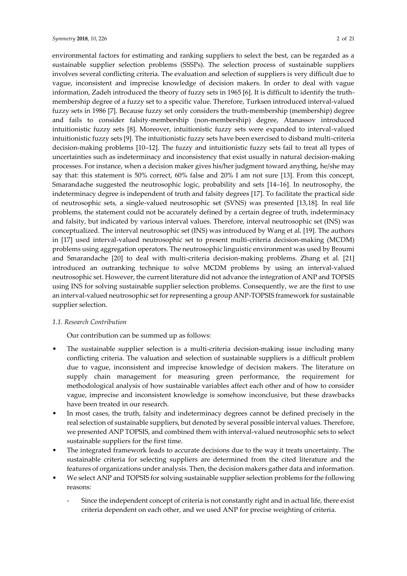environmental factors for estimating and ranking suppliers to select the best, can be regarded as a sustainable supplier selection problems (SSSPs). The selection process of sustainable suppliers involves several conflicting criteria. The evaluation and selection of suppliers is very difficult due to vague, inconsistent and imprecise knowledge of decision makers. In order to deal with vague information, Zadeh introduced the theory of fuzzy sets in 1965 [6]. It is difficult to identify the truthmembership degree of a fuzzy set to a specific value. Therefore, Turksen introduced interval-valued fuzzy sets in 1986 [7]. Because fuzzy set only considers the truth-membership (membership) degree and fails to consider falsity-membership (non-membership) degree, Atanassov introduced intuitionistic fuzzy sets [8]. Moreover, intuitionistic fuzzy sets were expanded to interval-valued intuitionistic fuzzy sets [9]. The intuitionistic fuzzy sets have been exercised to disband multi-criteria decision-making problems [10–12]. The fuzzy and intuitionistic fuzzy sets fail to treat all types of uncertainties such as indeterminacy and inconsistency that exist usually in natural decision-making processes. For instance, when a decision maker gives his/her judgment toward anything, he/she may say that: this statement is 50% correct, 60% false and 20% I am not sure [13]. From this concept, Smarandache suggested the neutrosophic logic, probability and sets [14–16]. In neutrosophy, the indeterminacy degree is independent of truth and falsity degrees [17]. To facilitate the practical side of neutrosophic sets, a single-valued neutrosophic set (SVNS) was presented [13,18]. In real life problems, the statement could not be accurately defined by a certain degree of truth, indeterminacy and falsity, but indicated by various interval values. Therefore, interval neutrosophic set (INS) was conceptualized. The interval neutrosophic set (INS) was introduced by Wang et al. [19]. The authors in [17] used interval-valued neutrosophic set to present multi-criteria decision-making (MCDM) problems using aggregation operators. The neutrosophic linguistic environment was used by Broumi and Smarandache [20] to deal with multi-criteria decision-making problems. Zhang et al. [21] introduced an outranking technique to solve MCDM problems by using an interval-valued neutrosophic set. However, the current literature did not advance the integration of ANP and TOPSIS using INS for solving sustainable supplier selection problems. Consequently, we are the first to use an interval-valued neutrosophic set for representing a group ANP-TOPSIS framework for sustainable supplier selection.

## *1.1. Research Contribution*

Our contribution can be summed up as follows:

- The sustainable supplier selection is a multi-criteria decision-making issue including many conflicting criteria. The valuation and selection of sustainable suppliers is a difficult problem due to vague, inconsistent and imprecise knowledge of decision makers. The literature on supply chain management for measuring green performance, the requirement for methodological analysis of how sustainable variables affect each other and of how to consider vague, imprecise and inconsistent knowledge is somehow inconclusive, but these drawbacks have been treated in our research.
- In most cases, the truth, falsity and indeterminacy degrees cannot be defined precisely in the real selection of sustainable suppliers, but denoted by several possible interval values. Therefore, we presented ANP TOPSIS, and combined them with interval-valued neutrosophic sets to select sustainable suppliers for the first time.
- The integrated framework leads to accurate decisions due to the way it treats uncertainty. The sustainable criteria for selecting suppliers are determined from the cited literature and the features of organizations under analysis. Then, the decision makers gather data and information.
- We select ANP and TOPSIS for solving sustainable supplier selection problems for the following reasons:
	- Since the independent concept of criteria is not constantly right and in actual life, there exist criteria dependent on each other, and we used ANP for precise weighting of criteria.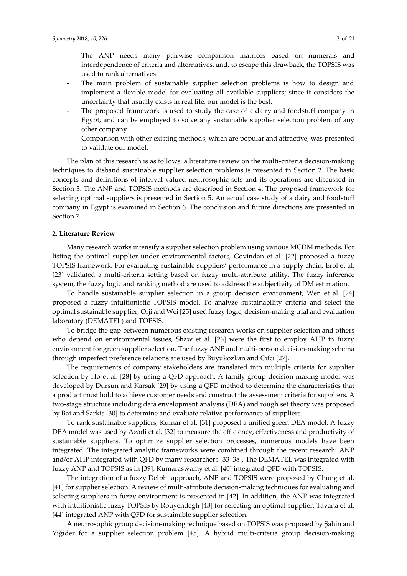- The ANP needs many pairwise comparison matrices based on numerals and interdependence of criteria and alternatives, and, to escape this drawback, the TOPSIS was used to rank alternatives.
- The main problem of sustainable supplier selection problems is how to design and implement a flexible model for evaluating all available suppliers; since it considers the uncertainty that usually exists in real life, our model is the best.
- The proposed framework is used to study the case of a dairy and foodstuff company in Egypt, and can be employed to solve any sustainable supplier selection problem of any other company.
- Comparison with other existing methods, which are popular and attractive, was presented to validate our model.

The plan of this research is as follows: a literature review on the multi-criteria decision-making techniques to disband sustainable supplier selection problems is presented in Section 2. The basic concepts and definitions of interval-valued neutrosophic sets and its operations are discussed in Section 3. The ANP and TOPSIS methods are described in Section 4. The proposed framework for selecting optimal suppliers is presented in Section 5. An actual case study of a dairy and foodstuff company in Egypt is examined in Section 6. The conclusion and future directions are presented in Section 7.

#### **2. Literature Review**

Many research works intensify a supplier selection problem using various MCDM methods. For listing the optimal supplier under environmental factors, Govindan et al. [22] proposed a fuzzy TOPSIS framework. For evaluating sustainable suppliers' performance in a supply chain, Erol et al. [23] validated a multi-criteria setting based on fuzzy multi-attribute utility. The fuzzy inference system, the fuzzy logic and ranking method are used to address the subjectivity of DM estimation.

To handle sustainable supplier selection in a group decision environment, Wen et al. [24] proposed a fuzzy intuitionistic TOPSIS model. To analyze sustainability criteria and select the optimal sustainable supplier, Orji and Wei [25] used fuzzy logic, decision-making trial and evaluation laboratory (DEMATEL) and TOPSIS.

To bridge the gap between numerous existing research works on supplier selection and others who depend on environmental issues, Shaw et al. [26] were the first to employ AHP in fuzzy environment for green supplier selection. The fuzzy ANP and multi-person decision-making schema through imperfect preference relations are used by Buyukozkan and Cifci [27].

The requirements of company stakeholders are translated into multiple criteria for supplier selection by Ho et al. [28] by using a QFD approach. A family group decision-making model was developed by Dursun and Karsak [29] by using a QFD method to determine the characteristics that a product must hold to achieve customer needs and construct the assessment criteria for suppliers. A two-stage structure including data envelopment analysis (DEA) and rough set theory was proposed by Bai and Sarkis [30] to determine and evaluate relative performance of suppliers.

To rank sustainable suppliers, Kumar et al. [31] proposed a unified green DEA model. A fuzzy DEA model was used by Azadi et al. [32] to measure the efficiency, effectiveness and productivity of sustainable suppliers. To optimize supplier selection processes, numerous models have been integrated. The integrated analytic frameworks were combined through the recent research: ANP and/or AHP integrated with QFD by many researchers [33–38]. The DEMATEL was integrated with fuzzy ANP and TOPSIS as in [39]. Kumaraswamy et al. [40] integrated QFD with TOPSIS.

The integration of a fuzzy Delphi approach, ANP and TOPSIS were proposed by Chung et al. [41] for supplier selection. A review of multi-attribute decision-making techniques for evaluating and selecting suppliers in fuzzy environment is presented in [42]. In addition, the ANP was integrated with intuitionistic fuzzy TOPSIS by Rouyendegh [43] for selecting an optimal supplier. Tavana et al. [44] integrated ANP with QFD for sustainable supplier selection.

A neutrosophic group decision-making technique based on TOPSIS was proposed by Şahin and Yiğider for a supplier selection problem [45]. A hybrid multi-criteria group decision-making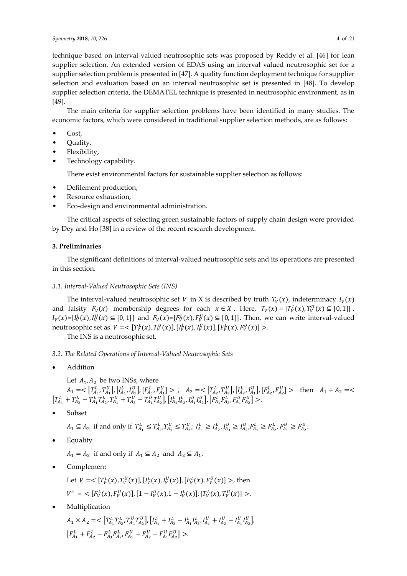technique based on interval-valued neutrosophic sets was proposed by Reddy et al. [46] for lean supplier selection. An extended version of EDAS using an interval valued neutrosophic set for a supplier selection problem is presented in [47]. A quality function deployment technique for supplier selection and evaluation based on an interval neutrosophic set is presented in [48]. To develop supplier selection criteria, the DEMATEL technique is presented in neutrosophic environment, as in [49].

The main criteria for supplier selection problems have been identified in many studies. The economic factors, which were considered in traditional supplier selection methods, are as follows:

- Cost,
- Quality,
- Flexibility,
- Technology capability.

There exist environmental factors for sustainable supplier selection as follows:

- Defilement production,
- Resource exhaustion,
- Eco-design and environmental administration.

The critical aspects of selecting green sustainable factors of supply chain design were provided by Dey and Ho [38] in a review of the recent research development.

# **3. Preliminaries**

The significant definitions of interval-valued neutrosophic sets and its operations are presented in this section.

# *3.1. Interval-Valued Neutrosophic Sets (INS)*

The interval-valued neutrosophic set V in X is described by truth  $T_v(x)$ , indeterminacy  $I_v(x)$ and falsity  $F_V(x)$  membership degrees for each  $x \in X$ . Here,  $T_V(x) = [T_V^L(x), T_V^U(x) \subseteq [0, 1]]$ ,  $I_V(x) = [I_V^L(x), I_V^U(x)] \subseteq [0, 1]]$  and  $F_V(x) = [F_V^L(x), F_V^U(x)] \subseteq [0, 1]]$ . Then, we can write interval-valued neutrosophic set as  $V = \left[T_V^L(x), T_V^U(x)\right], \left[I_V^L(x), I_V^U(x)\right], \left[F_V^L(x), F_V^U(x)\right] > .$ 

The INS is a neutrosophic set.

# *3.2. The Related Operations of Interval-Valued Neutrosophic Sets*

• Addition

Let  $A_1, A_2$  be two INSs, where

 $A_1 = \langle \left[T_{A_1}^L, T_{A_1}^U\right], \left[I_{A_1}^L, I_{A_1}^U\right], \left[F_{A_1}^L, F_{A_1}^U\right] \rangle$ ,  $A_2 = \langle \left[T_{A_2}^L, T_{A_2}^U\right], \left[I_{A_2}^L, I_{A_1}^U\right], \left[F_{A_2}^L, F_{A_2}^U\right] \rangle$  then  $A_1 + A_2 = \langle$  $\left[T_{A_1}^L + T_{A_2}^L - T_{A_1}^L T_{A_2}^L, T_{A_1}^U + T_{A_2}^U - T_{A_1}^U T_{A_2}^U\right]$ ,  $\left[I_{A_1}^L I_{A_2}^L, I_{A_1}^U I_{A_2}^U\right]$ ,  $\left[F_{A_1}^L F_{A_2}^L, F_{A_1}^U F_{A_2}^U\right]$  >.

• Subset

$$
A_1 \subseteq A_2
$$
 if and only if  $T_{A_1}^L \subseteq T_{A_2}^L$ ,  $T_{A_1}^U \subseteq T_{A_2}^U$ ;  $I_{A_1}^L \ge I_{A_2}^L$ ,  $I_{A_1}^U \ge I_{A_2}^U$ ;  $F_{A_1}^L \ge F_{A_2}^L$ ,  $F_{A_1}^U \ge F_{A_2}^U$ .

**Equality** 

 $A_1 = A_2$  if and only if  $A_1 \subseteq A_2$  and  $A_2 \subseteq A_1$ .

• Complement

Let  $V = \left[T_V^L(x), T_V^U(x)\right], \left[I_V^L(x), I_V^U(x)\right], \left[F_V^L(x), F_V^U(x)\right] >$ , then  $V^c = \langle [F_V^L(x), F_V^U(x)], [1 - I_V^U(x), 1 - I_V^L(x)], [T_V^L(x), T_V^U(x)] \rangle.$ 

**Multiplication** 

 $A_1 \times A_2 = \langle \left[T_{A_1}^L T_{A_2}^L, T_{A_1}^U T_{A_2}^U\right], \left[I_{A_1}^L + I_{A_2}^L - I_{A_1}^L I_{A_2}^L, I_{A_1}^U + I_{A_2}^U - I_{A_1}^U I_{A_2}^U\right],$  $\left[F_{A_1}^L + F_{A_2}^L - F_{A_1}^L F_{A_2}^L, F_{A_1}^U + F_{A_2}^U - F_{A_1}^U F_{A_2}^U\right] >$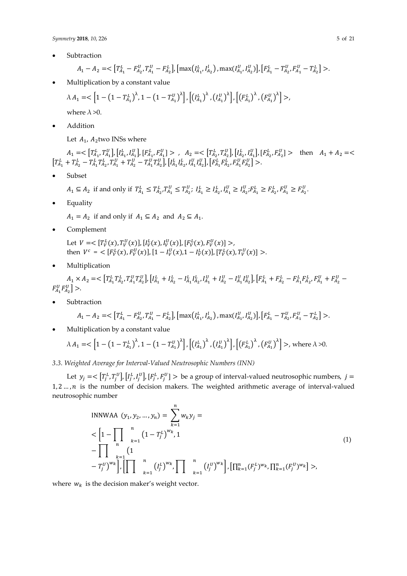**Subtraction** 

$$
A_1 - A_2 = \langle \left[T_{A_1}^L - F_{A_2}^U, T_{A_1}^U - F_{A_2}^L\right], \left[\max\left(I_{A_1}^L, I_{A_2}^U\right), \max\left(I_{A_1}^U, I_{A_2}^U\right)\right], \left[F_{A_1}^L - T_{A_2}^U, F_{A_1}^U - T_{A_2}^L\right] \rangle.
$$

• Multiplication by a constant value

$$
\lambda A_1 = \langle \left[1 - \left(1 - T_{A_1}^L\right)^{\lambda}, 1 - \left(1 - T_{A_1}^U\right)^{\lambda} \right], \left[\left(I_{A_1}^L\right)^{\lambda}, \left(I_{A_1}^U\right)^{\lambda}\right], \left[\left(F_{A_1}^L\right)^{\lambda}, \left(F_{A_1}^U\right)^{\lambda}\right] \rangle,
$$

where  $\lambda > 0$ .

• Addition

Let  $A_1$ ,  $A_2$ two INSs where

 $A_1 = \langle \left[T_{A_1}^L, T_{A_1}^U\right], \left[I_{A_1}^L, I_{A_1}^U\right], \left[F_{A_1}^L, F_{A_1}^U\right] \rangle$ ,  $A_2 = \langle \left[T_{A_2}^L, T_{A_2}^U\right], \left[I_{A_2}^L, I_{A_1}^U\right], \left[F_{A_2}^L, F_{A_2}^U\right] \rangle$  then  $A_1 + A_2 = \langle$  $\left[T_{A_1}^L + T_{A_2}^L - T_{A_1}^L T_{A_2}^L, T_{A_1}^U + T_{A_2}^U - T_{A_1}^U T_{A_2}^U\right]$ ,  $\left[I_{A_1}^L I_{A_2}^L, I_{A_1}^U I_{A_2}^U\right]$ ,  $\left[F_{A_1}^L F_{A_2}^L, F_{A_1}^U F_{A_2}^U\right]$  >.

• Subset

 $A_1 \subseteq A_2$  if and only if  $T_{A_1}^L \subseteq T_{A_2}^L, T_{A_1}^U \subseteq T_{A_2}^U$ ;  $I_{A_1}^L \geq I_{A_2}^L, I_{A_1}^U \geq I_{A_2}^U$ ;  $F_{A_1}^L \geq F_{A_2}^L, F_{A_1}^U \geq F_{A_2}^U$ .

• Equality

 $A_1 = A_2$  if and only if  $A_1 \subseteq A_2$  and  $A_2 \subseteq A_1$ .

• Complement

Let  $V = \left[T_V^L(x), T_V^U(x)\right], \left[I_V^L(x), I_V^U(x)\right], \left[F_V^L(x), F_V^U(x)\right] >$ , then  $V^c = \langle [F_V^L(x), F_V^U(x)], [1 - I_V^U(x), 1 - I_V^L(x)], [T_V^L(x), T_V^U(x)] \rangle$ .

• Multiplication

 $A_1 \times A_2 = \lt [T_{A_1}^L T_{A_2}^L, T_{A_1}^U T_{A_2}^U], \left[I_{A_1}^L + I_{A_2}^L - I_{A_1}^L I_{A_2}^L, I_{A_1}^U + I_{A_2}^U - I_{A_1}^U I_{A_2}^U\right], \left[F_{A_1}^L + F_{A_2}^L - F_{A_1}^L F_{A_2}^L, F_{A_1}^U + F_{A_2}^U - I_{A_1}^U I_{A_2}^U\right],$  $F_{A_1}^U F_{A_2}^U$  >.

**Subtraction** 

$$
A_1 - A_2 = \langle \left[T_{A_1}^L - F_{A_2}^U, T_{A_1}^U - F_{A_2}^L\right], \left[\max\left(I_{A_1}^L, I_{A_2}^U\right), \max\left(I_{A_1}^U, I_{A_2}^U\right)\right], \left[F_{A_1}^L - T_{A_2}^U, F_{A_1}^U - T_{A_2}^L\right] \rangle.
$$

• Multiplication by a constant value

$$
\lambda A_1 = \langle \left[1 - \left(1 - T_{A_1}^L\right)^{\lambda}, 1 - \left(1 - T_{A_1}^U\right)^{\lambda} \right], \left[\left(I_{A_1}^L\right)^{\lambda}, \left(I_{A_1}^U\right)^{\lambda}\right], \left[\left(F_{A_1}^L\right)^{\lambda}, \left(F_{A_1}^U\right)^{\lambda}\right] > \text{, where } \lambda > 0.
$$

## *3.3. Weighted Average for Interval-Valued Neutrosophic Numbers (INN)*

Let  $y_j = \langle [T_j^L, T_j^U], [I_j^L, I_j^U], [F_j^L, F_j^U] \rangle$  be a group of interval-valued neutrosophic numbers,  $j =$  $1, 2, ..., n$  is the number of decision makers. The weighted arithmetic average of interval-valued neutrosophic number

INNWAA 
$$
(y_1, y_2, ..., y_n) = \sum_{k=1}^{n} w_k y_j =
$$
  
\n
$$
< \left[1 - \prod_{n} \prod_{k=1}^{n} (1 - T_j^L)^{w_k}, 1 - \prod_{k=1}^{n} (1 - T_j^L)^{w_k}\right]
$$
\n
$$
- T_j^U)^{w_k} \left[ \prod_{k=1}^{n} {n \choose k} \prod_{k=1}^{n} (I_j^U)^{w_k} \right], \left[ \prod_{k=1}^{n} (F_j^L)^{w_k}, \prod_{k=1}^{n} (F_j^U)^{w_k} \right] >
$$
\n(1)

where  $w_k$  is the decision maker's weight vector.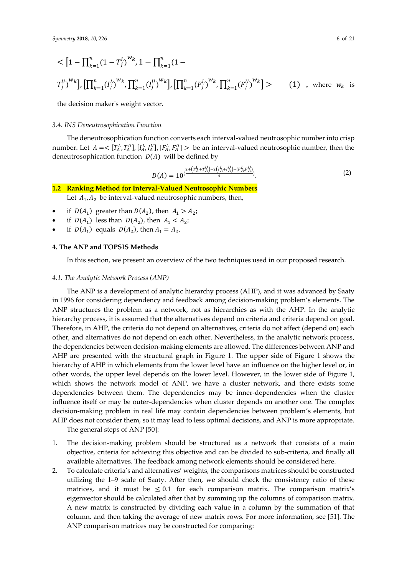$$
\langle \left[1 - \prod_{k=1}^{n} (1 - T_j^L)^{w_k}, 1 - \prod_{k=1}^{n} (1 - T_j^L)^{w_k}, 1 - \prod_{k=1}^{n} (1 - T_j^L)^{w_k} \right], \left[\prod_{k=1}^{n} (F_j^L)^{w_k}, \prod_{k=1}^{n} (F_j^L)^{w_k}\right] > \qquad (1), \text{ where } w_k \text{ is}
$$

the decision maker's weight vector.

#### *3.4. INS Deneutrosophication Function*

The deneutrosophication function converts each interval-valued neutrosophic number into crisp number. Let  $A = \langle [T_A^L, T_A^U], [I_A^L, I_A^U], [F_A^L, F_A^U] \rangle$  be an interval-valued neutrosophic number, then the deneutrosophication function  $D(A)$  will be defined by

$$
D(A) = 10^{(\frac{2 + (T_A^L + T_A^U) - 2(I_A^L + I_A^U) - (F_A^L F_A^U)}{4})}.
$$
\n<sup>(2)</sup>

## **1.2 Ranking Method for Interval-Valued Neutrosophic Numbers**

Let  $A_1, A_2$  be interval-valued neutrosophic numbers, then,

- if  $D(A_1)$  greater than  $D(A_2)$ , then  $A_1 > A_2$ ;
- if  $D(A_1)$  less than  $D(A_2)$ , then  $A_1 < A_2$ ;
- if  $D(A_1)$  equals  $D(A_2)$ , then  $A_1 = A_2$ .

#### **4. The ANP and TOPSIS Methods**

In this section, we present an overview of the two techniques used in our proposed research.

#### *4.1. The Analytic Network Process (ANP)*

The ANP is a development of analytic hierarchy process (AHP), and it was advanced by Saaty in 1996 for considering dependency and feedback among decision-making problem's elements. The ANP structures the problem as a network, not as hierarchies as with the AHP. In the analytic hierarchy process, it is assumed that the alternatives depend on criteria and criteria depend on goal. Therefore, in AHP, the criteria do not depend on alternatives, criteria do not affect (depend on) each other, and alternatives do not depend on each other. Nevertheless, in the analytic network process, the dependencies between decision-making elements are allowed. The differences between ANP and AHP are presented with the structural graph in Figure 1. The upper side of Figure 1 shows the hierarchy of AHP in which elements from the lower level have an influence on the higher level or, in other words, the upper level depends on the lower level. However, in the lower side of Figure 1, which shows the network model of ANP, we have a cluster network, and there exists some dependencies between them. The dependencies may be inner-dependencies when the cluster influence itself or may be outer-dependencies when cluster depends on another one. The complex decision-making problem in real life may contain dependencies between problem's elements, but AHP does not consider them, so it may lead to less optimal decisions, and ANP is more appropriate.

The general steps of ANP [50]:

- 1. The decision-making problem should be structured as a network that consists of a main objective, criteria for achieving this objective and can be divided to sub-criteria, and finally all available alternatives. The feedback among network elements should be considered here.
- 2. To calculate criteria's and alternatives' weights, the comparisons matrices should be constructed utilizing the 1–9 scale of Saaty. After then, we should check the consistency ratio of these matrices, and it must be  $\leq 0.1$  for each comparison matrix. The comparison matrix's eigenvector should be calculated after that by summing up the columns of comparison matrix. A new matrix is constructed by dividing each value in a column by the summation of that column, and then taking the average of new matrix rows. For more information, see [51]. The ANP comparison matrices may be constructed for comparing: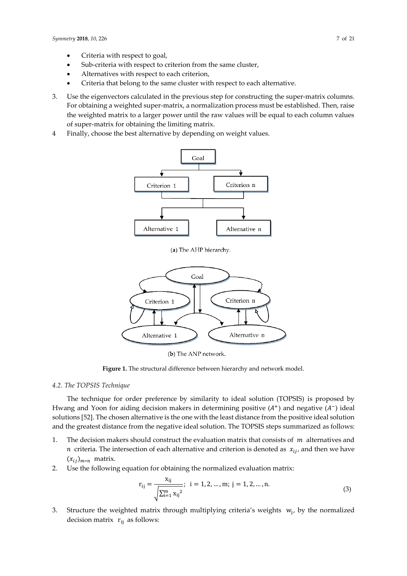- Criteria with respect to goal,
- Sub-criteria with respect to criterion from the same cluster,
- Alternatives with respect to each criterion,
- Criteria that belong to the same cluster with respect to each alternative.
- 3. Use the eigenvectors calculated in the previous step for constructing the super-matrix columns. For obtaining a weighted super-matrix, a normalization process must be established. Then, raise the weighted matrix to a larger power until the raw values will be equal to each column values of super-matrix for obtaining the limiting matrix.
- 4 Finally, choose the best alternative by depending on weight values.



(a) The AHP hierarchy.



(b) The ANP network.

**Figure 1.** The structural difference between hierarchy and network model.

## *4.2. The TOPSIS Technique*

The technique for order preference by similarity to ideal solution (TOPSIS) is proposed by Hwang and Yoon for aiding decision makers in determining positive  $(A^+)$  and negative  $(A^-)$  ideal solutions [52]. The chosen alternative is the one with the least distance from the positive ideal solution and the greatest distance from the negative ideal solution. The TOPSIS steps summarized as follows:

- 1. The decision makers should construct the evaluation matrix that consists of  $m$  alternatives and *n* criteria. The intersection of each alternative and criterion is denoted as  $x_{i,i}$ , and then we have  $(x_{ij})_{m*n}$  matrix.
- 2. Use the following equation for obtaining the normalized evaluation matrix:

$$
r_{ij} = \frac{x_{ij}}{\sqrt{\sum_{i=1}^{m} x_{ij}^2}}; \ i = 1, 2, ..., m; \ j = 1, 2, ..., n.
$$
 (3)

3. Structure the weighted matrix through multiplying criteria's weights  $w_j$ , by the normalized decision matrix  $r_{ij}$  as follows: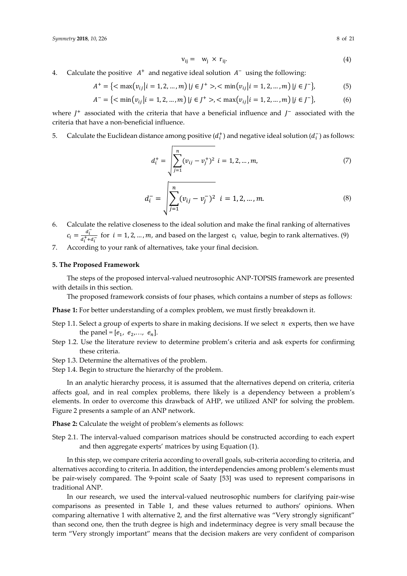$$
v_{ij} = w_j \times r_{ij}.
$$
 (4)

4. Calculate the positive  $A^+$  and negative ideal solution  $A^-$  using the following:

$$
A^{+} = \{ \langle \max(v_{ij} | i = 1, 2, ..., m) | j \in J^{+} \rangle, \langle \min(v_{ij} | i = 1, 2, ..., m) | j \in J^{-} \},
$$
 (5)

$$
A^{-} = \{ \langle \min(v_{ij} | i = 1, 2, ..., m) | j \in J^{+} \rangle, \langle \max(v_{ij} | i = 1, 2, ..., m) | j \in J^{-} \},
$$
(6)

where  $J^+$  associated with the criteria that have a beneficial influence and  $J^-$  associated with the criteria that have a non-beneficial influence.

5. Calculate the Euclidean distance among positive  $(d_i^+)$  and negative ideal solution  $(d_i^-)$  as follows:

$$
d_i^+ = \sqrt{\sum_{j=1}^n (v_{ij} - v_j^+)^2} \quad i = 1, 2, ..., m,
$$
 (7)

$$
d_i^- = \sqrt{\sum_{j=1}^n (v_{ij} - v_j^-)^2} \quad i = 1, 2, ..., m. \tag{8}
$$

- 6. Calculate the relative closeness to the ideal solution and make the final ranking of alternatives  $c_i = \frac{d_i^-}{d_{i^+}\ddot{x}_i}$  $\frac{u_i}{a_i^+ + a_i^-}$  for  $i = 1, 2, ..., m$ , and based on the largest  $c_i$  value, begin to rank alternatives. (9)
- 7. According to your rank of alternatives, take your final decision.

# **5. The Proposed Framework**

The steps of the proposed interval-valued neutrosophic ANP-TOPSIS framework are presented with details in this section.

The proposed framework consists of four phases, which contains a number of steps as follows:

**Phase 1:** For better understanding of a complex problem, we must firstly breakdown it.

- Step 1.1. Select a group of experts to share in making decisions. If we select  $n$  experts, then we have the panel =  $[e_1, e_2,..., e_n]$ .
- Step 1.2. Use the literature review to determine problem's criteria and ask experts for confirming these criteria.
- Step 1.3. Determine the alternatives of the problem.
- Step 1.4. Begin to structure the hierarchy of the problem.

In an analytic hierarchy process, it is assumed that the alternatives depend on criteria, criteria affects goal, and in real complex problems, there likely is a dependency between a problem's elements. In order to overcome this drawback of AHP, we utilized ANP for solving the problem. Figure 2 presents a sample of an ANP network.

**Phase 2:** Calculate the weight of problem's elements as follows:

Step 2.1. The interval-valued comparison matrices should be constructed according to each expert and then aggregate experts' matrices by using Equation (1).

In this step, we compare criteria according to overall goals, sub-criteria according to criteria, and alternatives according to criteria. In addition, the interdependencies among problem's elements must be pair-wisely compared. The 9-point scale of Saaty [53] was used to represent comparisons in traditional ANP.

In our research, we used the interval-valued neutrosophic numbers for clarifying pair-wise comparisons as presented in Table 1, and these values returned to authors' opinions. When comparing alternative 1 with alternative 2, and the first alternative was "Very strongly significant" than second one, then the truth degree is high and indeterminacy degree is very small because the term "Very strongly important" means that the decision makers are very confident of comparison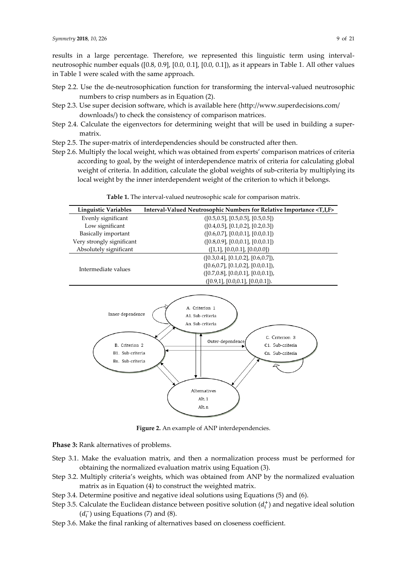results in a large percentage. Therefore, we represented this linguistic term using intervalneutrosophic number equals ([0.8, 0.9], [0.0, 0.1], [0.0, 0.1]), as it appears in Table 1. All other values in Table 1 were scaled with the same approach.

- Step 2.2. Use the de-neutrosophication function for transforming the interval-valued neutrosophic numbers to crisp numbers as in Equation (2).
- Step 2.3. Use super decision software, which is available here (http://www.superdecisions.com/ downloads/) to check the consistency of comparison matrices.
- Step 2.4. Calculate the eigenvectors for determining weight that will be used in building a supermatrix.
- Step 2.5. The super-matrix of interdependencies should be constructed after then.
- Step 2.6. Multiply the local weight, which was obtained from experts' comparison matrices of criteria according to goal, by the weight of interdependence matrix of criteria for calculating global weight of criteria. In addition, calculate the global weights of sub-criteria by multiplying its local weight by the inner interdependent weight of the criterion to which it belongs.



**Table 1.** The interval-valued neutrosophic scale for comparison matrix.

**Figure 2.** An example of ANP interdependencies.

**Phase 3:** Rank alternatives of problems.

- Step 3.1. Make the evaluation matrix, and then a normalization process must be performed for obtaining the normalized evaluation matrix using Equation (3).
- Step 3.2. Multiply criteria's weights, which was obtained from ANP by the normalized evaluation matrix as in Equation (4) to construct the weighted matrix.
- Step 3.4. Determine positive and negative ideal solutions using Equations (5) and (6).
- Step 3.5. Calculate the Euclidean distance between positive solution  $(d_i^+)$  and negative ideal solution  $(d_i^-)$  using Equations (7) and (8).
- Step 3.6. Make the final ranking of alternatives based on closeness coefficient.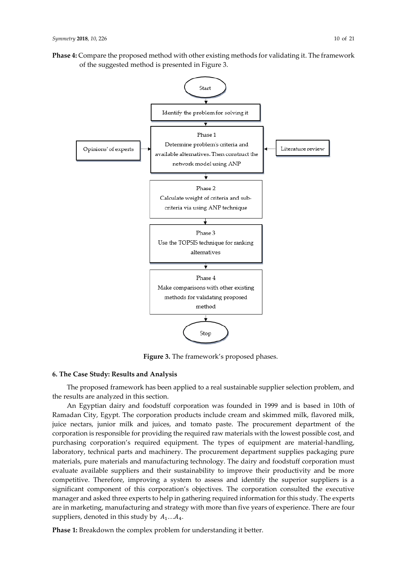**Phase 4:** Compare the proposed method with other existing methods for validating it. The framework of the suggested method is presented in Figure 3.



**Figure 3.** The framework's proposed phases.

## **6. The Case Study: Results and Analysis**

The proposed framework has been applied to a real sustainable supplier selection problem, and the results are analyzed in this section.

An Egyptian dairy and foodstuff corporation was founded in 1999 and is based in 10th of Ramadan City, Egypt. The corporation products include cream and skimmed milk, flavored milk, juice nectars, junior milk and juices, and tomato paste. The procurement department of the corporation is responsible for providing the required raw materials with the lowest possible cost, and purchasing corporation's required equipment. The types of equipment are material-handling, laboratory, technical parts and machinery. The procurement department supplies packaging pure materials, pure materials and manufacturing technology. The dairy and foodstuff corporation must evaluate available suppliers and their sustainability to improve their productivity and be more competitive. Therefore, improving a system to assess and identify the superior suppliers is a significant component of this corporation's objectives. The corporation consulted the executive manager and asked three experts to help in gathering required information for this study. The experts are in marketing, manufacturing and strategy with more than five years of experience. There are four suppliers, denoted in this study by  $A_1...A_4$ .

**Phase 1:** Breakdown the complex problem for understanding it better.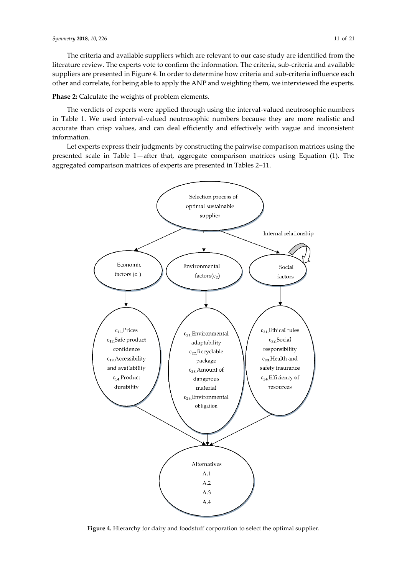The criteria and available suppliers which are relevant to our case study are identified from the literature review. The experts vote to confirm the information. The criteria, sub-criteria and available suppliers are presented in Figure 4. In order to determine how criteria and sub-criteria influence each other and correlate, for being able to apply the ANP and weighting them, we interviewed the experts.

**Phase 2:** Calculate the weights of problem elements.

The verdicts of experts were applied through using the interval-valued neutrosophic numbers in Table 1. We used interval-valued neutrosophic numbers because they are more realistic and accurate than crisp values, and can deal efficiently and effectively with vague and inconsistent information.

Let experts express their judgments by constructing the pairwise comparison matrices using the presented scale in Table 1—after that, aggregate comparison matrices using Equation (1). The aggregated comparison matrices of experts are presented in Tables 2–11.



**Figure 4.** Hierarchy for dairy and foodstuff corporation to select the optimal supplier.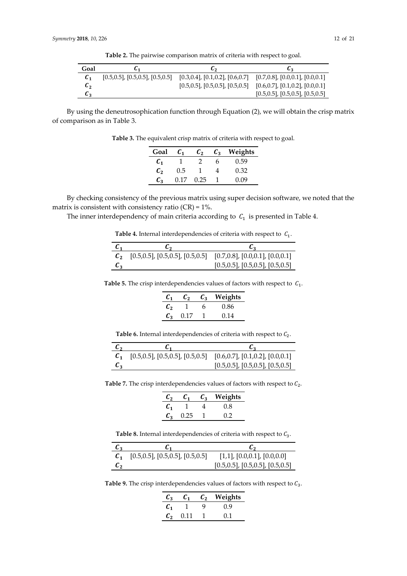**Table 2.** The pairwise comparison matrix of criteria with respect to goal.

| Goal            |                                            | しっ                                         |                                            |
|-----------------|--------------------------------------------|--------------------------------------------|--------------------------------------------|
| $\mathcal{C}_1$ | $[0.5, 0.5]$ , $[0.5, 0.5]$ , $[0.5, 0.5]$ | $[0.3, 0.4]$ , $[0.1, 0.2]$ , $[0.6, 0.7]$ | $[0.7, 0.8]$ , $[0.0, 0.1]$ , $[0.0, 0.1]$ |
| c <sub>2</sub>  |                                            | $[0.5, 0.5]$ , $[0.5, 0.5]$ , $[0.5, 0.5]$ | $[0.6, 0.7]$ , $[0.1, 0.2]$ , $[0.0, 0.1]$ |
| L3              |                                            |                                            | $[0.5, 0.5]$ , $[0.5, 0.5]$ , $[0.5, 0.5]$ |

By using the deneutrosophication function through Equation (2), we will obtain the crisp matrix of comparison as in Table 3.

**Table 3.** The equivalent crisp matrix of criteria with respect to goal.

| Goal            | $\mathcal{C}_1$ | $\mathcal{C}_2$ | $\mathcal{C}_3$ | Weights |
|-----------------|-----------------|-----------------|-----------------|---------|
| $\mathcal{C}_1$ |                 |                 | n               | 0.59    |
| $\mathcal{C}_2$ | 0.5             |                 |                 | 0.32    |
| $\mathcal{C}_2$ | በ 17            | 0.25            |                 | D.O9    |

By checking consistency of the previous matrix using super decision software, we noted that the matrix is consistent with consistency ratio  $(CR) = 1\%$ .

The inner interdependency of main criteria according to  $C_1$  is presented in Table 4.

| <b>Table 4.</b> Internal interdependencies of criteria with respect to $C_1$ . |  |  |
|--------------------------------------------------------------------------------|--|--|
|--------------------------------------------------------------------------------|--|--|

| $\mathcal{C}_1$   | しっ                                         |                                            |
|-------------------|--------------------------------------------|--------------------------------------------|
| $\mathcal{C}_{2}$ | $[0.5, 0.5]$ , $[0.5, 0.5]$ , $[0.5, 0.5]$ | $[0.7, 0.8]$ , $[0.0, 0.1]$ , $[0.0, 0.1]$ |
| C <sub>2</sub>    |                                            | $[0.5, 0.5]$ , $[0.5, 0.5]$ , $[0.5, 0.5]$ |

**Table 5.** The crisp interdependencies values of factors with respect to  $C_1$ .

| $\boldsymbol{c}_1$ | C,   | $\mathcal{C}_3$ | Weights |
|--------------------|------|-----------------|---------|
| $\mathcal{C}_2$    |      | h               | 0.86    |
| $\mathcal{C}_3$    | 0.17 |                 | 0.14    |

**Table 6.** Internal interdependencies of criteria with respect to  $C_2$ .

| $\mathbf{L}$ |                                                                                       |                                            |
|--------------|---------------------------------------------------------------------------------------|--------------------------------------------|
|              | $[0.5, 0.5]$ , $[0.5, 0.5]$ , $[0.5, 0.5]$ $[0.6, 0.7]$ , $[0.1, 0.2]$ , $[0.0, 0.1]$ |                                            |
| L2           |                                                                                       | $[0.5, 0.5]$ , $[0.5, 0.5]$ , $[0.5, 0.5]$ |

**Table 7.** The crisp interdependencies values of factors with respect to  $C_2$ .

| $\mathcal{C}_2$ | $\mathcal{C}_1$ | $c_{\rm a}$ | Weights |
|-----------------|-----------------|-------------|---------|
| $\mathcal{C}_1$ |                 |             | 0.8     |
| $\mathcal{C}_3$ | 0.25            |             | 0.2     |

**Table 8.** Internal interdependencies of criteria with respect to  $C_3$ .

| $\mathcal{C}_3$ | U 1                                        | しっ                                         |
|-----------------|--------------------------------------------|--------------------------------------------|
|                 | $[0.5, 0.5]$ , $[0.5, 0.5]$ , $[0.5, 0.5]$ | $[1,1]$ , $[0.0,0.1]$ , $[0.0,0.0]$        |
| C۰              |                                            | $[0.5, 0.5]$ , $[0.5, 0.5]$ , $[0.5, 0.5]$ |

**Table 9.** The crisp interdependencies values of factors with respect to  $C_3$ .

| С,                | C1   | $\mathcal{C}_2$ | Weights |
|-------------------|------|-----------------|---------|
| $\mathcal{C}_1$   |      |                 | 0.9     |
| $\mathcal{C}_{2}$ | 0.11 |                 | 01      |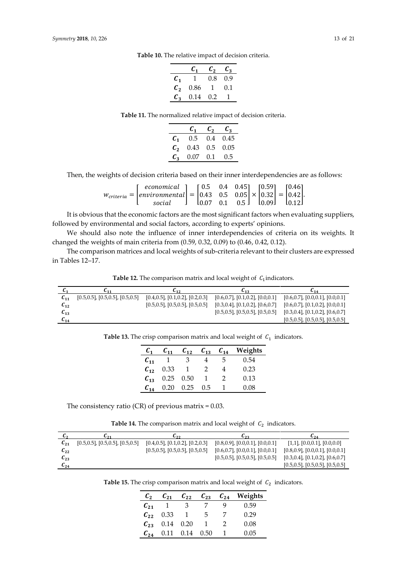| (0.9) |
|-------|
| 0.1   |
|       |
|       |

**Table 11.** The normalized relative impact of decision criteria.

|                 | C1            | $\mathcal{C}_2$ | $\mathcal{C}_2$ |
|-----------------|---------------|-----------------|-----------------|
| $\mathcal{C}_1$ | $0.5^{\circ}$ | $0.4^{\circ}$   | 0.45            |
| $\mathcal{C}_2$ | 0.43          | 0.5             | 0.05            |
| $\mathcal{C}_2$ | 0.07          | 0.1             | 0.5             |

Then, the weights of decision criteria based on their inner interdependencies are as follows:

| $w_{critical} = \begin{bmatrix} economical \\ environmental \\ social \end{bmatrix} = \begin{bmatrix} 0.5 & 0.4 & 0.45 \\ 0.43 & 0.5 & 0.05 \\ 0.07 & 0.1 & 0.5 \end{bmatrix} \times \begin{bmatrix} 0.59 \\ 0.32 \\ 0.09 \end{bmatrix} = \begin{bmatrix} 0.46 \\ 0.42 \\ 0.12 \end{bmatrix}.$ |  |  |  |  |  |
|------------------------------------------------------------------------------------------------------------------------------------------------------------------------------------------------------------------------------------------------------------------------------------------------|--|--|--|--|--|
|                                                                                                                                                                                                                                                                                                |  |  |  |  |  |

It is obvious that the economic factors are the most significant factors when evaluating suppliers, followed by environmental and social factors, according to experts' opinions.

We should also note the influence of inner interdependencies of criteria on its weights. It changed the weights of main criteria from (0.59, 0.32, 0.09) to (0.46, 0.42, 0.12).

The comparison matrices and local weights of sub-criteria relevant to their clusters are expressed in Tables 12–17.

**Table 12.** The comparison matrix and local weight of  $C_1$  indicators.

|          | L 11                                       | <b>L</b> <sub>12</sub>                     | $L_{13}$                                   | 614                                        |
|----------|--------------------------------------------|--------------------------------------------|--------------------------------------------|--------------------------------------------|
| $C_{11}$ | $[0.5, 0.5]$ , $[0.5, 0.5]$ , $[0.5, 0.5]$ | $[0.4, 0.5]$ , $[0.1, 0.2]$ , $[0.2, 0.3]$ | $[0.6, 0.7]$ , $[0.1, 0.2]$ , $[0.0, 0.1]$ | $[0.6, 0.7]$ , $[0.0, 0.1]$ , $[0.0, 0.1]$ |
| $c_{12}$ |                                            | $[0.5, 0.5]$ , $[0.5, 0.5]$ , $[0.5, 0.5]$ | $[0.3, 0.4]$ , $[0.1, 0.2]$ , $[0.6, 0.7]$ | $[0.6, 0.7]$ , $[0.1, 0.2]$ , $[0.0, 0.1]$ |
| $C_{13}$ |                                            |                                            | $[0.5, 0.5]$ , $[0.5, 0.5]$ , $[0.5, 0.5]$ | $[0.3, 0.4]$ , $[0.1, 0.2]$ , $[0.6, 0.7]$ |
| $L_{14}$ |                                            |                                            |                                            | $[0.5, 0.5]$ , $[0.5, 0.5]$ , $[0.5, 0.5]$ |
|          |                                            |                                            |                                            |                                            |

**Table 13.** The crisp comparison matrix and local weight of  $C_1$  indicators.

| $\mathcal{C}_1$ | $C_{11}$           | $c_{12}$          | $C_{13}$ $C_{14}$ |   | Weights |
|-----------------|--------------------|-------------------|-------------------|---|---------|
| $C_{11}$        |                    | -3                |                   | 5 | 0.54    |
| $c_{12}$        | 0.33               |                   | $\mathcal{D}$     |   | 0.23    |
|                 | $C_{13}$ 0.25 0.50 |                   |                   | 2 | 0.13    |
| $C_{14}$        |                    | $0.20 \quad 0.25$ | 0.5               |   | 0.08    |

The consistency ratio (CR) of previous matrix  $= 0.03$ .

**Table 14.** The comparison matrix and local weight of  $C_2$  indicators.

| しっ                | <b>L</b> 21                                | しっっ                                        | しっっ                                        | $\mathbf{L}_{24}$                          |
|-------------------|--------------------------------------------|--------------------------------------------|--------------------------------------------|--------------------------------------------|
| $L_{21}$          | $[0.5, 0.5]$ , $[0.5, 0.5]$ , $[0.5, 0.5]$ | $[0.4, 0.5]$ , $[0.1, 0.2]$ , $[0.2, 0.3]$ | $[0.8, 0.9]$ , $[0.0, 0.1]$ , $[0.0, 0.1]$ | $[1,1]$ , $[0.0,0.1]$ , $[0.0,0.0]$        |
| $L_{22}$          |                                            | $[0.5, 0.5]$ , $[0.5, 0.5]$ , $[0.5, 0.5]$ | $[0.6, 0.7]$ , $[0.0, 0.1]$ , $[0.0, 0.1]$ | $[0.8, 0.9]$ , $[0.0, 0.1]$ , $[0.0, 0.1]$ |
| $c_{23}$          |                                            |                                            | $[0.5, 0.5]$ , $[0.5, 0.5]$ , $[0.5, 0.5]$ | $[0.3, 0.4]$ , $[0.1, 0.2]$ , $[0.6, 0.7]$ |
| $\mathbf{c}_{24}$ |                                            |                                            |                                            | $[0.5, 0.5]$ , $[0.5, 0.5]$ , $[0.5, 0.5]$ |

**Table 15.** The crisp comparison matrix and local weight of  $C_2$  indicators.

| $\mathcal{C}_2$ | $C_{21}$ | $C_{22}$ | $C_{23}$       | $C_{24}$ | Weights |
|-----------------|----------|----------|----------------|----------|---------|
| $C_{21}$        | - 1 -    | 3        |                |          | 0.59    |
| $c_{22}$        | 0.33     | 1        | $\overline{5}$ |          | 0.29    |
| $C_{23}$        | 0.14     | 0.20     |                |          | 0.08    |
| $C_{24}$        | 0.11     | 0.14     | 0.50           |          | 0.05    |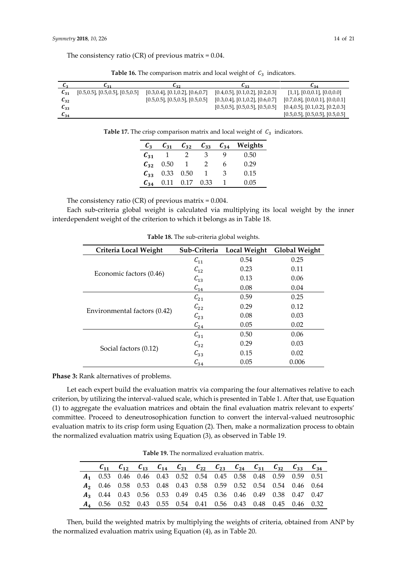The consistency ratio (CR) of previous matrix  $= 0.04$ .

| しっ                 | <b>L</b> <sub>21</sub>                     | しっっ                                        | しっっ                                        | $L_{34}$                                   |
|--------------------|--------------------------------------------|--------------------------------------------|--------------------------------------------|--------------------------------------------|
| $\mathcal{C}_{31}$ | $[0.5, 0.5]$ , $[0.5, 0.5]$ , $[0.5, 0.5]$ | $[0.3, 0.4]$ , $[0.1, 0.2]$ , $[0.6, 0.7]$ | $[0.4, 0.5]$ , $[0.1, 0.2]$ , $[0.2, 0.3]$ | $[1,1]$ , $[0.0,0.1]$ , $[0.0,0.0]$        |
| $L_{32}$           |                                            | $[0.5, 0.5]$ , $[0.5, 0.5]$ , $[0.5, 0.5]$ | $[0.3, 0.4]$ , $[0.1, 0.2]$ , $[0.6, 0.7]$ | $[0.7, 0.8]$ , $[0.0, 0.1]$ , $[0.0, 0.1]$ |
| $\mathcal{C}_{33}$ |                                            |                                            | $[0.5, 0.5]$ , $[0.5, 0.5]$ , $[0.5, 0.5]$ | $[0.4, 0.5]$ , $[0.1, 0.2]$ , $[0.2, 0.3]$ |
| $\mathbf{c}_{34}$  |                                            |                                            |                                            | $[0.5, 0.5]$ , $[0.5, 0.5]$ , $[0.5, 0.5]$ |

**Table 16.** The comparison matrix and local weight of  $C_3$  indicators.

**Table 17.** The crisp comparison matrix and local weight of  $C_3$  indicators.

| $\mathcal{L}_3$    | $\mathcal{L}_{31}$ | $C_{32}$ | $C_{33}$ | $C_{34}$ | Weights |
|--------------------|--------------------|----------|----------|----------|---------|
| $\mathcal{C}_{31}$ |                    |          | 3        |          | (0.50)  |
| $\mathcal{C}_{32}$ | 0.50               |          | 2        | h        | 0.29    |
| $C_{33}$           | 0.33               | 0.50     |          | ٦        | 0.15    |
| $C_{34}$           | 0.11               | 0.17     | 0.33     |          | () ()5  |

The consistency ratio (CR) of previous matrix  $= 0.004$ .

Each sub-criteria global weight is calculated via multiplying its local weight by the inner interdependent weight of the criterion to which it belongs as in Table 18.

| Criteria Local Weight        | Sub-Criteria | <b>Local Weight</b> | <b>Global Weight</b> |
|------------------------------|--------------|---------------------|----------------------|
|                              | $C_{11}$     | 0.54                | 0.25                 |
|                              | $C_{12}$     | 0.23                | 0.11                 |
| Economic factors (0.46)      | $C_{13}$     | 0.13                | 0.06                 |
|                              | $C_{14}$     | 0.08                | 0.04                 |
|                              | $C_{21}$     | 0.59                | 0.25                 |
|                              | $C_{22}$     | 0.29                | 0.12                 |
| Environmental factors (0.42) | $C_{23}$     | 0.08                | 0.03                 |
|                              | $C_{24}$     | 0.05                | 0.02                 |
|                              | $C_{31}$     | 0.50                | 0.06                 |
|                              | $C_{32}$     | 0.29                | 0.03                 |
| Social factors (0.12)        | $C_{33}$     | 0.15                | 0.02                 |
|                              | $C_{34}$     | 0.05                | 0.006                |

**Table 18.** The sub-criteria global weights.

**Phase 3:** Rank alternatives of problems.

Let each expert build the evaluation matrix via comparing the four alternatives relative to each criterion, by utilizing the interval-valued scale, which is presented in Table 1. After that, use Equation (1) to aggregate the evaluation matrices and obtain the final evaluation matrix relevant to experts' committee. Proceed to deneutrosophication function to convert the interval-valued neutrosophic evaluation matrix to its crisp form using Equation (2). Then, make a normalization process to obtain the normalized evaluation matrix using Equation (3), as observed in Table 19.

|  |  | $C_{11}$ $C_{12}$ $C_{13}$ $C_{14}$ $C_{21}$ $C_{22}$ $C_{23}$ $C_{24}$ $C_{31}$ $C_{32}$ $C_{33}$ $C_{34}$ |  |  |  |  |
|--|--|-------------------------------------------------------------------------------------------------------------|--|--|--|--|
|  |  | A <sub>1</sub> 0.53 0.46 0.46 0.43 0.52 0.54 0.45 0.58 0.48 0.59 0.59 0.51                                  |  |  |  |  |
|  |  | A <sub>2</sub> 0.46 0.58 0.53 0.48 0.43 0.58 0.59 0.52 0.54 0.54 0.46 0.64                                  |  |  |  |  |
|  |  | 43 0.44 0.43 0.56 0.53 0.49 0.45 0.36 0.46 0.49 0.38 0.47 0.47                                              |  |  |  |  |
|  |  | A <sub>4</sub> 0.56 0.52 0.43 0.55 0.54 0.41 0.56 0.43 0.48 0.45 0.46 0.32                                  |  |  |  |  |

**Table 19.** The normalized evaluation matrix.

Then, build the weighted matrix by multiplying the weights of criteria, obtained from ANP by the normalized evaluation matrix using Equation (4), as in Table 20.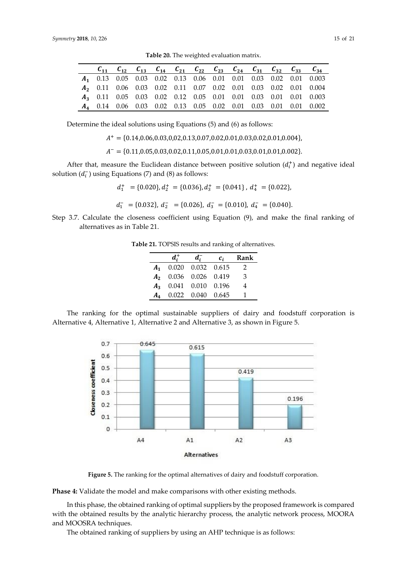|  |  | $C_{11}$ $C_{12}$ $C_{13}$ $C_{14}$ $C_{21}$ $C_{22}$ $C_{23}$ $C_{24}$ $C_{31}$ $C_{32}$ $C_{33}$ $C_{34}$ |  |  |  |                                                                                    |
|--|--|-------------------------------------------------------------------------------------------------------------|--|--|--|------------------------------------------------------------------------------------|
|  |  |                                                                                                             |  |  |  | <b>A</b> <sub>1</sub> 0.13 0.05 0.03 0.02 0.13 0.06 0.01 0.01 0.03 0.02 0.01 0.003 |
|  |  |                                                                                                             |  |  |  | 42  0.11  0.06  0.03  0.02  0.11  0.07  0.02  0.01  0.03  0.02  0.01  0.004        |
|  |  |                                                                                                             |  |  |  | <b>A<sub>3</sub></b> 0.11 0.05 0.03 0.02 0.12 0.05 0.01 0.01 0.03 0.01 0.01 0.003  |
|  |  |                                                                                                             |  |  |  | <b>A<sub>4</sub></b> 0.14 0.06 0.03 0.02 0.13 0.05 0.02 0.01 0.03 0.01 0.01 0.002  |

**Table 20.** The weighted evaluation matrix.

Determine the ideal solutions using Equations (5) and (6) as follows:

$$
A^+ = \{0.14, 0.06, 0.03, 0.02, 0.13, 0.07, 0.02, 0.01, 0.03, 0.02, 0.01, 0.004\},\
$$

$$
A^- = \{0.11, 0.05, 0.03, 0.02, 0.11, 0.05, 0.01, 0.01, 0.03, 0.01, 0.01, 0.002\}
$$

After that, measure the Euclidean distance between positive solution  $(d_i^+)$  and negative ideal solution  $(d_i^-)$  using Equations (7) and (8) as follows:

$$
d_1^+ = \{0.020\}, d_2^+ = \{0.036\}, d_3^+ = \{0.041\}, d_4^+ = \{0.022\}
$$

$$
d_1^- = \{0.032\}, d_2^- = \{0.026\}, d_3^- = \{0.010\}, d_4^- = \{0.040\}.
$$

Step 3.7. Calculate the closeness coefficient using Equation (9), and make the final ranking of alternatives as in Table 21.

**Table 21.** TOPSIS results and ranking of alternatives.

|                         | $a_i$             | $\mathcal{C}_{i}$ | Rank |
|-------------------------|-------------------|-------------------|------|
| $A_1$ 0.020 0.032 0.615 |                   |                   | 2    |
| $A_2$ 0.036 0.026 0.419 |                   |                   | 3    |
| $A_3$ 0.041 0.010 0.196 |                   |                   | 4    |
|                         | 0.022 0.040 0.645 |                   |      |

The ranking for the optimal sustainable suppliers of dairy and foodstuff corporation is Alternative 4, Alternative 1, Alternative 2 and Alternative 3, as shown in Figure 5.



**Figure 5.** The ranking for the optimal alternatives of dairy and foodstuff corporation.

**Phase 4:** Validate the model and make comparisons with other existing methods.

In this phase, the obtained ranking of optimal suppliers by the proposed framework is compared with the obtained results by the analytic hierarchy process, the analytic network process, MOORA and MOOSRA techniques.

The obtained ranking of suppliers by using an AHP technique is as follows: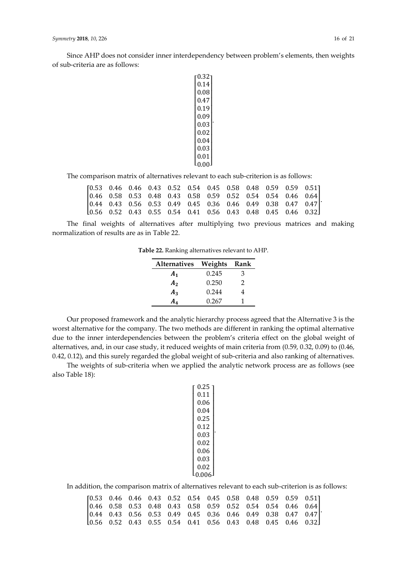Since AHP does not consider inner interdependency between problem's elements, then weights of sub-criteria are as follows:

```
\mathsf{I}_{0.00}I

0.03

0.04

|0.02||0.03|\vert 0.09I
\int_{0.19}^{0.47}\int_{0.47}^{0.00}\Big| 0.08I
 \lceil 0.32 \rceil0.14
   0.01

                   \overline{\phantom{a}}\overline{\phantom{a}}\overline{\phantom{a}}\overline{\phantom{a}}\overline{\phantom{a}}\overline{\phantom{a}}.
```
The comparison matrix of alternatives relevant to each sub-criterion is as follows:

| $[0.53 \t 0.46 \t 0.46 \t 0.43 \t 0.52 \t 0.54 \t 0.45 \t 0.58 \t 0.48 \t 0.59 \t 0.59 \t 0.51]$                  |  |  |  |  |  |  |
|-------------------------------------------------------------------------------------------------------------------|--|--|--|--|--|--|
| $\begin{bmatrix} 0.46 & 0.58 & 0.53 & 0.48 & 0.43 & 0.58 & 0.59 & 0.52 & 0.54 & 0.54 & 0.46 & 0.64 \end{bmatrix}$ |  |  |  |  |  |  |
| $\begin{bmatrix} 0.44 & 0.43 & 0.56 & 0.53 & 0.49 & 0.45 & 0.36 & 0.46 & 0.49 & 0.38 & 0.47 & 0.47 \end{bmatrix}$ |  |  |  |  |  |  |
| $\begin{bmatrix} 0.56 & 0.52 & 0.43 & 0.55 & 0.54 & 0.41 & 0.56 & 0.43 & 0.48 & 0.45 & 0.46 & 0.32 \end{bmatrix}$ |  |  |  |  |  |  |

The final weights of alternatives after multiplying two previous matrices and making normalization of results are as in Table 22.

**Table 22.** Ranking alternatives relevant to AHP.

| <b>Alternatives</b> | Weights | Rank |  |
|---------------------|---------|------|--|
| A <sub>1</sub>      | 0.245   | З    |  |
| A <sub>2</sub>      | 0.250   | 2    |  |
| $A_3$               | 0.244   | 4    |  |
| A4                  | 0.267   |      |  |

Our proposed framework and the analytic hierarchy process agreed that the Alternative 3 is the worst alternative for the company. The two methods are different in ranking the optimal alternative due to the inner interdependencies between the problem's criteria effect on the global weight of alternatives, and, in our case study, it reduced weights of main criteria from (0.59, 0.32, 0.09) to (0.46, 0.42, 0.12), and this surely regarded the global weight of sub-criteria and also ranking of alternatives.

The weights of sub-criteria when we applied the analytic network process are as follows (see also Table 18):

| 0.25  |  |
|-------|--|
| 0.11  |  |
| 0.06  |  |
| 0.04  |  |
| 0.25  |  |
| 0.12  |  |
| 0.03  |  |
| 0.02  |  |
| 0.06  |  |
| 0.03  |  |
| 0.02  |  |
| 0.006 |  |

In addition, the comparison matrix of alternatives relevant to each sub-criterion is as follows:

| $[0.53 \t 0.46 \t 0.46 \t 0.43 \t 0.52 \t 0.54 \t 0.45 \t 0.58 \t 0.48 \t 0.59 \t 0.59 \t 0.51]$                  |  |  |  |  |  |  |
|-------------------------------------------------------------------------------------------------------------------|--|--|--|--|--|--|
| $\begin{bmatrix} 0.46 & 0.58 & 0.53 & 0.48 & 0.43 & 0.58 & 0.59 & 0.52 & 0.54 & 0.54 & 0.46 & 0.64 \end{bmatrix}$ |  |  |  |  |  |  |
| $\begin{bmatrix} 0.44 & 0.43 & 0.56 & 0.53 & 0.49 & 0.45 & 0.36 & 0.46 & 0.49 & 0.38 & 0.47 & 0.47 \end{bmatrix}$ |  |  |  |  |  |  |
| 10.56 0.52 0.43 0.55 0.54 0.41 0.56 0.43 0.48 0.45 0.46 0.32                                                      |  |  |  |  |  |  |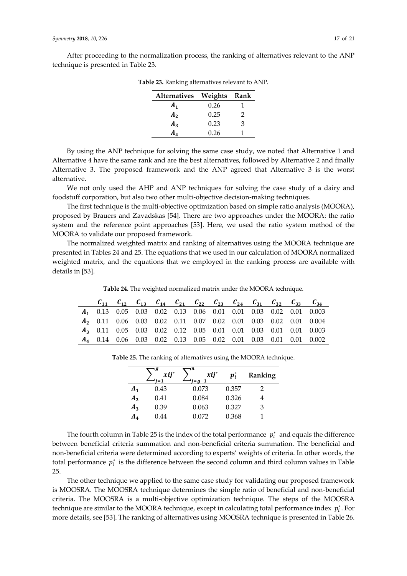After proceeding to the normalization process, the ranking of alternatives relevant to the ANP technique is presented in Table 23.

| Alternatives Weights Rank |      |   |
|---------------------------|------|---|
| A <sub>1</sub>            | 0.26 |   |
| A <sub>2</sub>            | 0.25 | 2 |
| $A_3$                     | 0.23 | 3 |
| A۸.                       | 0.26 |   |

**Table 23.** Ranking alternatives relevant to ANP.

By using the ANP technique for solving the same case study, we noted that Alternative 1 and Alternative 4 have the same rank and are the best alternatives, followed by Alternative 2 and finally Alternative 3. The proposed framework and the ANP agreed that Alternative 3 is the worst alternative.

We not only used the AHP and ANP techniques for solving the case study of a dairy and foodstuff corporation, but also two other multi-objective decision-making techniques.

The first technique is the multi-objective optimization based on simple ratio analysis (MOORA), proposed by Brauers and Zavadskas [54]. There are two approaches under the MOORA: the ratio system and the reference point approaches [53]. Here, we used the ratio system method of the MOORA to validate our proposed framework.

The normalized weighted matrix and ranking of alternatives using the MOORA technique are presented in Tables 24 and 25. The equations that we used in our calculation of MOORA normalized weighted matrix, and the equations that we employed in the ranking process are available with details in [53].

**Table 24.** The weighted normalized matrix under the MOORA technique.

|  |  |  |  |  |  | $C_{11}$ $C_{12}$ $C_{13}$ $C_{14}$ $C_{21}$ $C_{22}$ $C_{23}$ $C_{24}$ $C_{31}$ $C_{32}$ $C_{33}$ $C_{34}$ |
|--|--|--|--|--|--|-------------------------------------------------------------------------------------------------------------|
|  |  |  |  |  |  | 4 0.13 0.05 0.03 0.02 0.13 0.06 0.01 0.01 0.03 0.02 0.01 0.003                                              |
|  |  |  |  |  |  | 42  0.11  0.06  0.03  0.02  0.11  0.07  0.02  0.01  0.03  0.02  0.01  0.004                                 |
|  |  |  |  |  |  | 43  0.11  0.05  0.03  0.02  0.12  0.05  0.01  0.01  0.03  0.01  0.01  0.003                                 |
|  |  |  |  |  |  | 44 0.14 0.06 0.03 0.02 0.13 0.05 0.02 0.01 0.03 0.01 0.01 0.002                                             |

|                | д<br>$xi$ ij* | ın<br>$xi$ ij*<br>$= q + 1$ | $\boldsymbol{p}_i$ | Ranking |
|----------------|---------------|-----------------------------|--------------------|---------|
| $A_{1}$        | 0.43          | 0.073                       | 0.357              |         |
| A <sub>2</sub> | 0.41          | 0.084                       | 0.326              |         |
| $A_3$          | 0.39          | 0.063                       | 0.327              | З       |
| A,             | 0.44          | 0.072                       | 0.368              |         |

**Table 25.** The ranking of alternatives using the MOORA technique.

The fourth column in Table 25 is the index of the total performance  $p_i^*$  and equals the difference between beneficial criteria summation and non-beneficial criteria summation. The beneficial and non-beneficial criteria were determined according to experts' weights of criteria. In other words, the total performance  $p_i^*$  is the difference between the second column and third column values in Table 25.

The other technique we applied to the same case study for validating our proposed framework is MOOSRA. The MOOSRA technique determines the simple ratio of beneficial and non-beneficial criteria. The MOOSRA is a multi-objective optimization technique. The steps of the MOOSRA technique are similar to the MOORA technique, except in calculating total performance index  $p_i^*$ . For more details, see [53]. The ranking of alternatives using MOOSRA technique is presented in Table 26.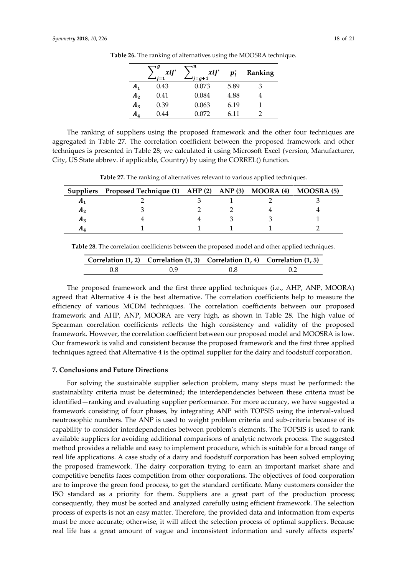|                | ۰9<br>$xij^*$ | $\mathbf{u}$<br>$xij^*$<br>$i = g+1$ | $\boldsymbol{p}_i^*$ | Ranking |
|----------------|---------------|--------------------------------------|----------------------|---------|
| A <sub>1</sub> | 0.43          | 0.073                                | 5.89                 | 3       |
| A <sub>2</sub> | 0.41          | 0.084                                | 4.88                 |         |
| $A_3$          | 0.39          | 0.063                                | 6.19                 |         |
| A4             | 0.44          | 0.072                                | 6.11                 |         |

**Table 26.** The ranking of alternatives using the MOOSRA technique.

The ranking of suppliers using the proposed framework and the other four techniques are aggregated in Table 27. The correlation coefficient between the proposed framework and other techniques is presented in Table 28; we calculated it using Microsoft Excel (version, Manufacturer, City, US State abbrev. if applicable, Country) by using the CORREL() function.

**Table 27.** The ranking of alternatives relevant to various applied techniques.

|    | Suppliers Proposed Technique (1) AHP (2) ANP (3) MOORA (4) MOOSRA (5) |  |  |
|----|-----------------------------------------------------------------------|--|--|
|    |                                                                       |  |  |
| Лŋ |                                                                       |  |  |
| Aз |                                                                       |  |  |
| л. |                                                                       |  |  |

**Table 28.** The correlation coefficients between the proposed model and other applied techniques.

|     | Correlation $(1, 2)$ Correlation $(1, 3)$ Correlation $(1, 4)$ Correlation $(1, 5)$ |  |
|-----|-------------------------------------------------------------------------------------|--|
| በ 9 | 0.8                                                                                 |  |

The proposed framework and the first three applied techniques (i.e., AHP, ANP, MOORA) agreed that Alternative 4 is the best alternative. The correlation coefficients help to measure the efficiency of various MCDM techniques. The correlation coefficients between our proposed framework and AHP, ANP, MOORA are very high, as shown in Table 28. The high value of Spearman correlation coefficients reflects the high consistency and validity of the proposed framework. However, the correlation coefficient between our proposed model and MOOSRA is low. Our framework is valid and consistent because the proposed framework and the first three applied techniques agreed that Alternative 4 is the optimal supplier for the dairy and foodstuff corporation.

#### **7. Conclusions and Future Directions**

For solving the sustainable supplier selection problem, many steps must be performed: the sustainability criteria must be determined; the interdependencies between these criteria must be identified—ranking and evaluating supplier performance. For more accuracy, we have suggested a framework consisting of four phases, by integrating ANP with TOPSIS using the interval-valued neutrosophic numbers. The ANP is used to weight problem criteria and sub-criteria because of its capability to consider interdependencies between problem's elements. The TOPSIS is used to rank available suppliers for avoiding additional comparisons of analytic network process. The suggested method provides a reliable and easy to implement procedure, which is suitable for a broad range of real life applications. A case study of a dairy and foodstuff corporation has been solved employing the proposed framework. The dairy corporation trying to earn an important market share and competitive benefits faces competition from other corporations. The objectives of food corporation are to improve the green food process, to get the standard certificate. Many customers consider the ISO standard as a priority for them. Suppliers are a great part of the production process; consequently, they must be sorted and analyzed carefully using efficient framework. The selection process of experts is not an easy matter. Therefore, the provided data and information from experts must be more accurate; otherwise, it will affect the selection process of optimal suppliers. Because real life has a great amount of vague and inconsistent information and surely affects experts'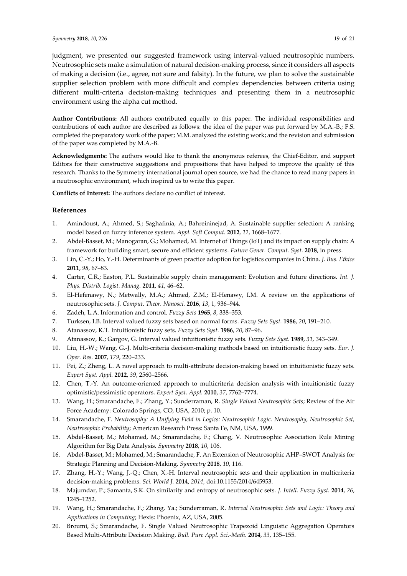judgment, we presented our suggested framework using interval-valued neutrosophic numbers. Neutrosophic sets make a simulation of natural decision-making process, since it considers all aspects of making a decision (i.e., agree, not sure and falsity). In the future, we plan to solve the sustainable supplier selection problem with more difficult and complex dependencies between criteria using different multi-criteria decision-making techniques and presenting them in a neutrosophic environment using the alpha cut method.

**Author Contributions:** All authors contributed equally to this paper. The individual responsibilities and contributions of each author are described as follows: the idea of the paper was put forward by M.A.-B.; F.S. completed the preparatory work of the paper; M.M. analyzed the existing work; and the revision and submission of the paper was completed by M.A.-B.

**Acknowledgments:** The authors would like to thank the anonymous referees, the Chief-Editor, and support Editors for their constructive suggestions and propositions that have helped to improve the quality of this research. Thanks to the Symmetry international journal open source, we had the chance to read many papers in a neutrosophic environment, which inspired us to write this paper.

**Conflicts of Interest:** The authors declare no conflict of interest.

## **References**

- 1. Amindoust, A.; Ahmed, S.; Saghafinia, A.; Bahreininejad, A. Sustainable supplier selection: A ranking model based on fuzzy inference system. *Appl. Soft Comput.* **2012**, *12*, 1668–1677.
- 2. Abdel-Basset, M.; Manogaran, G.; Mohamed, M. Internet of Things (IoT) and its impact on supply chain: A framework for building smart, secure and efficient systems. *Future Gener. Comput. Syst.* **2018**, in press.
- 3. Lin, C.-Y.; Ho, Y.-H. Determinants of green practice adoption for logistics companies in China. *J. Bus. Ethics* **2011**, *98*, 67–83.
- 4. Carter, C.R.; Easton, P.L. Sustainable supply chain management: Evolution and future directions. *Int. J. Phys. Distrib. Logist. Manag.* **2011**, *41*, 46–62.
- 5. El-Hefenawy, N.; Metwally, M.A.; Ahmed, Z.M.; El-Henawy, I.M. A review on the applications of neutrosophic sets. *J. Comput. Theor. Nanosci.* **2016**, *13*, 1, 936–944.
- 6. Zadeh, L.A. Information and control. *Fuzzy Sets* **1965**, *8*, 338–353.
- 7. Turksen, I.B. Interval valued fuzzy sets based on normal forms. *Fuzzy Sets Syst.* **1986**, *20*, 191–210.
- 8. Atanassov, K.T. Intuitionistic fuzzy sets. *Fuzzy Sets Syst.* **1986**, *20*, 87–96.
- 9. Atanassov, K.; Gargov, G. Interval valued intuitionistic fuzzy sets. *Fuzzy Sets Syst.* **1989**, *31*, 343–349.
- 10. Liu, H.-W.; Wang, G.-J. Multi-criteria decision-making methods based on intuitionistic fuzzy sets. *Eur. J. Oper. Res.* **2007**, *179*, 220–233.
- 11. Pei, Z.; Zheng, L. A novel approach to multi-attribute decision-making based on intuitionistic fuzzy sets. *Expert Syst. Appl.* **2012**, *39*, 2560–2566.
- 12. Chen, T.-Y. An outcome-oriented approach to multicriteria decision analysis with intuitionistic fuzzy optimistic/pessimistic operators. *Expert Syst. Appl.* **2010**, *37*, 7762–7774.
- 13. Wang, H.; Smarandache, F.; Zhang, Y.; Sunderraman, R. *Single Valued Neutrosophic Sets*; Review of the Air Force Academy: Colorado Springs, CO, USA, 2010; p. 10.
- 14. Smarandache, F. *Neutrosophy: A Unifying Field in Logics: Neutrosophic Logic. Neutrosophy, Neutrosophic Set, Neutrosophic Probability*; American Research Press: Santa Fe, NM, USA, 1999.
- 15. Abdel-Basset, M.; Mohamed, M.; Smarandache, F.; Chang, V. Neutrosophic Association Rule Mining Algorithm for Big Data Analysis. *Symmetry* **2018**, *10*, 106.
- 16. Abdel-Basset, M.; Mohamed, M.; Smarandache, F. An Extension of Neutrosophic AHP–SWOT Analysis for Strategic Planning and Decision-Making. *Symmetry* **2018**, *10*, 116.
- 17. Zhang, H.-Y.; Wang, J.-Q.; Chen, X.-H. Interval neutrosophic sets and their application in multicriteria decision-making problems. *Sci. World J.* **2014**, *2014*, doi:10.1155/2014/645953.
- 18. Majumdar, P.; Samanta, S.K. On similarity and entropy of neutrosophic sets. *J. Intell. Fuzzy Syst.* **2014**, *26*, 1245–1252.
- 19. Wang, H.; Smarandache, F.; Zhang, Ya.; Sunderraman, R. *Interval Neutrosophic Sets and Logic: Theory and Applications in Computing*; Hexis: Phoenix, AZ, USA, 2005.
- 20. Broumi, S.; Smarandache, F. Single Valued Neutrosophic Trapezoid Linguistic Aggregation Operators Based Multi-Attribute Decision Making. *Bull. Pure Appl. Sci.-Math*. **2014**, *33*, 135–155.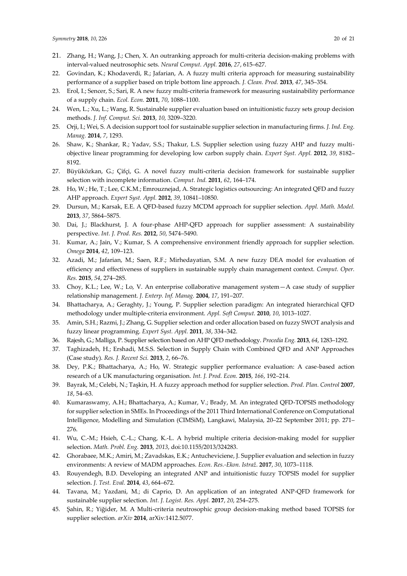- 21. Zhang, H.; Wang, J.; Chen, X. An outranking approach for multi-criteria decision-making problems with interval-valued neutrosophic sets. *Neural Comput. Appl.* **2016**, *27*, 615–627.
- 22. Govindan, K.; Khodaverdi, R.; Jafarian, A. A fuzzy multi criteria approach for measuring sustainability performance of a supplier based on triple bottom line approach. *J. Clean. Prod.* **2013**, *47*, 345–354.
- 23. Erol, I.; Sencer, S.; Sari, R. A new fuzzy multi-criteria framework for measuring sustainability performance of a supply chain. *Ecol. Econ.* **2011**, *70*, 1088–1100.
- 24. Wen, L.; Xu, L.; Wang, R. Sustainable supplier evaluation based on intuitionistic fuzzy sets group decision methods. *J. Inf. Comput. Sci.* **2013**, *10*, 3209–3220.
- 25. Orji, I.; Wei, S. A decision support tool for sustainable supplier selection in manufacturing firms. *J. Ind. Eng. Manag.* **2014**, *7*, 1293.
- 26. Shaw, K.; Shankar, R.; Yadav, S.S.; Thakur, L.S. Supplier selection using fuzzy AHP and fuzzy multiobjective linear programming for developing low carbon supply chain. *Expert Syst. Appl.* **2012**, *39*, 8182– 8192.
- 27. Büyüközkan, G.; Çifçi, G. A novel fuzzy multi-criteria decision framework for sustainable supplier selection with incomplete information. *Comput. Ind.* **2011**, *62*, 164–174.
- 28. Ho, W.; He, T.; Lee, C.K.M.; Emrouznejad, A. Strategic logistics outsourcing: An integrated QFD and fuzzy AHP approach. *Expert Syst. Appl.* **2012**, *39*, 10841–10850.
- 29. Dursun, M.; Karsak, E.E. A QFD-based fuzzy MCDM approach for supplier selection. *Appl. Math. Model.*  **2013**, *37*, 5864–5875.
- 30. Dai, J.; Blackhurst, J. A four-phase AHP-QFD approach for supplier assessment: A sustainability perspective. *Int. J. Prod. Res.* **2012**, *50*, 5474–5490.
- 31. Kumar, A.; Jain, V.; Kumar, S. A comprehensive environment friendly approach for supplier selection. *Omega* **2014**, *42*, 109–123.
- 32. Azadi, M.; Jafarian, M.; Saen, R.F.; Mirhedayatian, S.M. A new fuzzy DEA model for evaluation of efficiency and effectiveness of suppliers in sustainable supply chain management context. *Comput. Oper. Res.* **2015**, *54*, 274–285.
- 33. Choy, K.L.; Lee, W.; Lo, V. An enterprise collaborative management system—A case study of supplier relationship management. *J. Enterp. Inf. Manag.* **2004**, *17*, 191–207.
- 34. Bhattacharya, A.; Geraghty, J.; Young, P. Supplier selection paradigm: An integrated hierarchical QFD methodology under multiple-criteria environment. *Appl. Soft Comput.* **2010**, *10*, 1013–1027.
- 35. Amin, S.H.; Razmi, J.; Zhang, G. Supplier selection and order allocation based on fuzzy SWOT analysis and fuzzy linear programming. *Expert Syst. Appl.* **2011**, *38*, 334–342.
- 36. Rajesh, G.; Malliga, P. Supplier selection based on AHP QFD methodology. *Procedia Eng.* **2013**, *64*, 1283–1292.
- 37. Taghizadeh, H.; Ershadi, M.S.S. Selection in Supply Chain with Combined QFD and ANP Approaches (Case study). *Res. J. Recent Sci.* **2013**, *2*, 66–76.
- 38. Dey, P.K.; Bhattacharya, A.; Ho, W. Strategic supplier performance evaluation: A case-based action research of a UK manufacturing organisation. *Int. J. Prod. Econ.* **2015**, *166*, 192–214.
- 39. Bayrak, M.; Celebi, N.; Taşkin, H. A fuzzy approach method for supplier selection. *Prod. Plan. Control* **2007**, *18*, 54–63.
- 40. Kumaraswamy, A.H.; Bhattacharya, A.; Kumar, V.; Brady, M. An integrated QFD-TOPSIS methodology for supplier selection in SMEs. In Proceedings of the 2011 Third International Conference on Computational Intelligence, Modelling and Simulation (CIMSiM), Langkawi, Malaysia, 20–22 September 2011; pp. 271– 276.
- 41. Wu, C.-M.; Hsieh, C.-L.; Chang, K.-L. A hybrid multiple criteria decision-making model for supplier selection. *Math. Probl. Eng.* **2013**, *2013*, doi:10.1155/2013/324283.
- 42. Ghorabaee, M.K.; Amiri, M.; Zavadskas, E.K.; Antucheviciene, J. Supplier evaluation and selection in fuzzy environments: A review of MADM approaches. *Econ. Res.-Ekon. Istraž*. **2017**, *30*, 1073–1118.
- 43. Rouyendegh, B.D. Developing an integrated ANP and intuitionistic fuzzy TOPSIS model for supplier selection. *J. Test. Eval.* **2014**, *43*, 664–672.
- 44. Tavana, M.; Yazdani, M.; di Caprio, D. An application of an integrated ANP-QFD framework for sustainable supplier selection. *Int. J. Logist. Res. Appl.* **2017**, *20*, 254–275.
- 45. Şahin, R.; Yiğider, M. A Multi-criteria neutrosophic group decision-making method based TOPSIS for supplier selection. *arXiv* **2014**, arXiv*:*1412.5077.